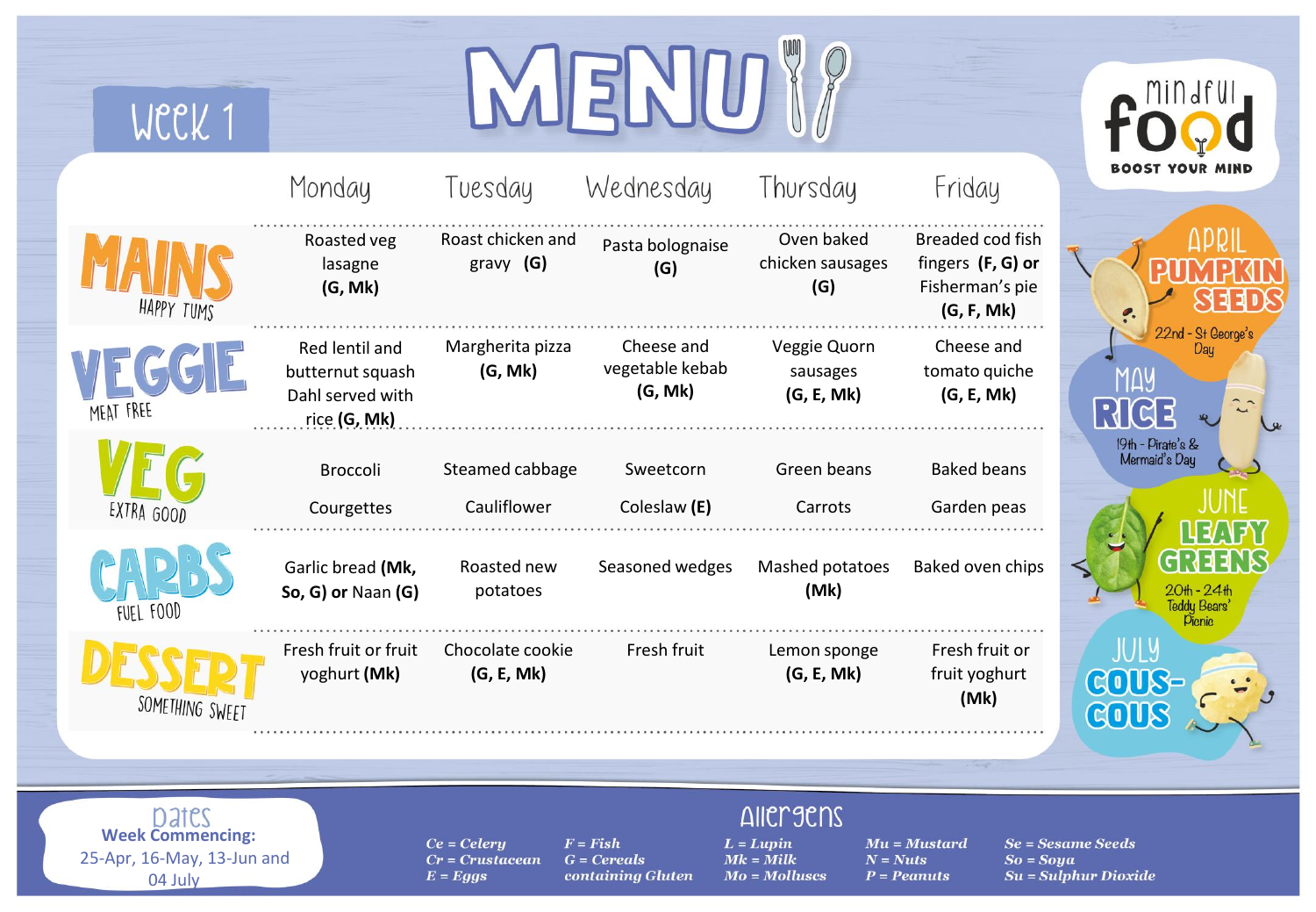| WCCK 1                                                                    |                                                                        |                                                  |                                                  |                                                                   |                                                                        |                                               |
|---------------------------------------------------------------------------|------------------------------------------------------------------------|--------------------------------------------------|--------------------------------------------------|-------------------------------------------------------------------|------------------------------------------------------------------------|-----------------------------------------------|
|                                                                           | Monday                                                                 | Tuesday                                          | Wednesday                                        | Thursday                                                          | Friday                                                                 | BOOST YOUR MIND                               |
| HAPPY TUMS                                                                | Roasted veg<br>lasagne<br>(G, Mk)                                      | Roast chicken and<br>gravy $(G)$                 | Pasta bolognaise<br>(G)                          | Oven baked<br>chicken sausages<br>(G)                             | Breaded cod fish<br>fingers (F, G) or<br>Fisherman's pie<br>(G, F, Mk) |                                               |
| MEAT FREE                                                                 | Red lentil and<br>butternut squash<br>Dahl served with<br>rice (G, Mk) | Margherita pizza<br>(G, Mk)                      | Cheese and<br>vegetable kebab<br>(G, Mk)         | Veggie Quorn<br>sausages<br>(G, E, Mk)                            | Cheese and<br>tomato quiche<br>(G, E, Mk)                              | 22nd - St George's<br><u>RK</u>               |
| EXTRA GOOD                                                                | Broccoli<br>Courgettes                                                 | Steamed cabbage<br>Cauliflower                   | Sweetcorn<br>Coleslaw (E)                        | Green beans<br>Carrots                                            | <b>Baked beans</b><br>Garden peas                                      | 19th - Pirate's &<br>Mermaid's Day            |
| FUEL FOOD                                                                 | Garlic bread (Mk,<br>So, G) or Naan (G)                                | Roasted new<br>potatoes                          | Seasoned wedges                                  | Mashed potatoes<br>(Mk)                                           | Baked oven chips                                                       | 20th - 24th<br>Teddy Bears<br><b>Picnic</b>   |
| SOMETHING SWEET                                                           | Fresh fruit or fruit<br>yoghurt (Mk)                                   | Chocolate cookie<br>(G, E, Mk)                   | Fresh fruit                                      | Lemon sponge<br>(G, E, Mk)                                        | Fresh fruit or<br>fruit yoghurt<br>(Mk)                                | JULY<br>GOUS-<br>GOUS                         |
|                                                                           |                                                                        |                                                  |                                                  |                                                                   |                                                                        |                                               |
| Dates<br><b>Week Commencing:</b><br>25-Apr, 16-May, 13-Jun and<br>04 July |                                                                        | $Ce = Celery$<br>$Cr = Crustacean$<br>$E = Eggs$ | $F = Fish$<br>$G = Cereals$<br>containing Gluten | <b>Allergens</b><br>$L = Lupin$<br>$Mk =$ Milk<br>$Mo = Molluses$ | $Mu = Mustard$<br>$N = Nuts$<br>$So = Soya$<br>$P = Peanuts$           | $Se = Sesame Seeds$<br>$Su = Sulphur Dioxide$ |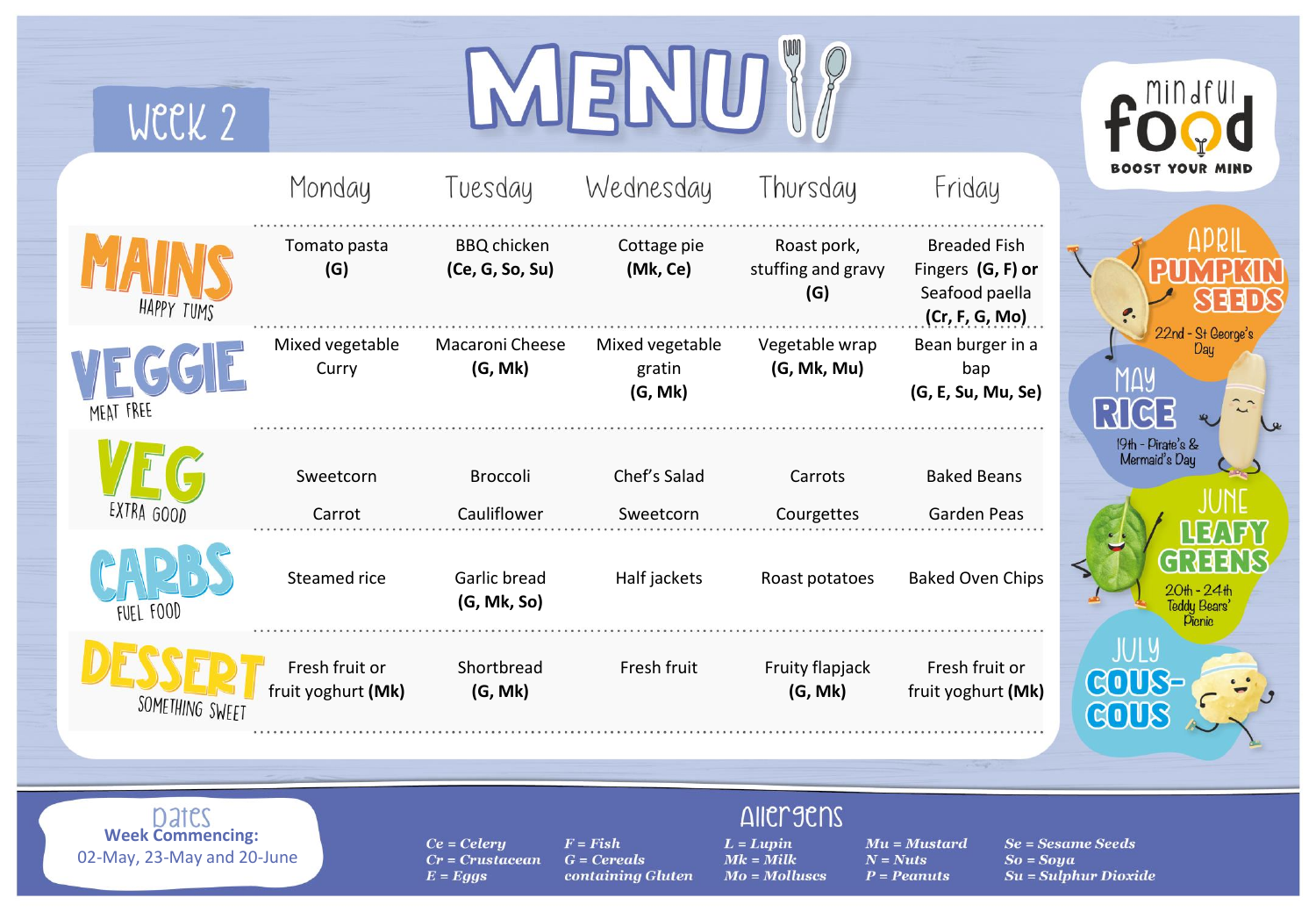| WCCK 2                                                         |                                      |                                                  |                                                  |                                                                   |                                                                              |                                                          |
|----------------------------------------------------------------|--------------------------------------|--------------------------------------------------|--------------------------------------------------|-------------------------------------------------------------------|------------------------------------------------------------------------------|----------------------------------------------------------|
|                                                                | Monday                               | Tuesday                                          | Wednesday                                        | Thursday                                                          | Friday                                                                       | <b>BOOST YOUR</b>                                        |
| HAPPY TUMS                                                     | Tomato pasta<br>(G)                  | <b>BBQ</b> chicken<br>(Ce, G, So, Su)            | Cottage pie<br>(Mk, Ce)                          | Roast pork,<br>stuffing and gravy<br>(G)                          | <b>Breaded Fish</b><br>Fingers (G, F) or<br>Seafood paella<br>(Cr, F, G, Mo) |                                                          |
| <b>MEAT FREE</b>                                               | Mixed vegetable<br>Curry             | Macaroni Cheese<br>(G, Mk)                       | Mixed vegetable<br>gratin<br>(G, Mk)             | Vegetable wrap<br>(G, Mk, Mu)                                     | Bean burger in a<br>bap<br>(G, E, Su, Mu, Se)                                | 22nd - St George's<br>Dau<br><u> </u>   d                |
| EXTRA GOOD                                                     | Sweetcorn<br>Carrot                  | <b>Broccoli</b><br>Cauliflower                   | Chef's Salad<br>Sweetcorn                        | Carrots<br>Courgettes                                             | <b>Baked Beans</b><br>Garden Peas                                            | 19th - Pirate's &<br>Mermaid's Day                       |
| FUEL FOOD                                                      | Steamed rice                         | Garlic bread<br>(G, Mk, So)                      | Half jackets                                     | Roast potatoes                                                    | <b>Baked Oven Chips</b>                                                      | 20th - 24th<br>Teddy Bears <sup>:</sup><br><b>Picnic</b> |
| SOMETHING SWEET                                                | Fresh fruit or<br>fruit yoghurt (Mk) | Shortbread<br>(G, Mk)                            | Fresh fruit                                      | Fruity flapjack<br>(G, Mk)                                        | Fresh fruit or<br>fruit yoghurt (Mk)                                         | JULY<br><b>COUS-</b><br>GOUS                             |
|                                                                |                                      |                                                  |                                                  |                                                                   |                                                                              |                                                          |
| Dates<br><b>Week Commencing:</b><br>02-May, 23-May and 20-June |                                      | $Ce = Celery$<br>$Cr = Crustacean$<br>$E = Eggs$ | $F = Fish$<br>$G = Cereals$<br>containing Gluten | <b>Allergens</b><br>$L = Lupin$<br>$Mk =$ Milk<br>$Mo = Molluses$ | $Mu = Mustard$<br>$N = Nuts$<br>$So = Soya$<br>$P = Peanuts$                 | <b>Se = Sesame Seeds</b><br>$Su = Sulphur Dioxide$       |